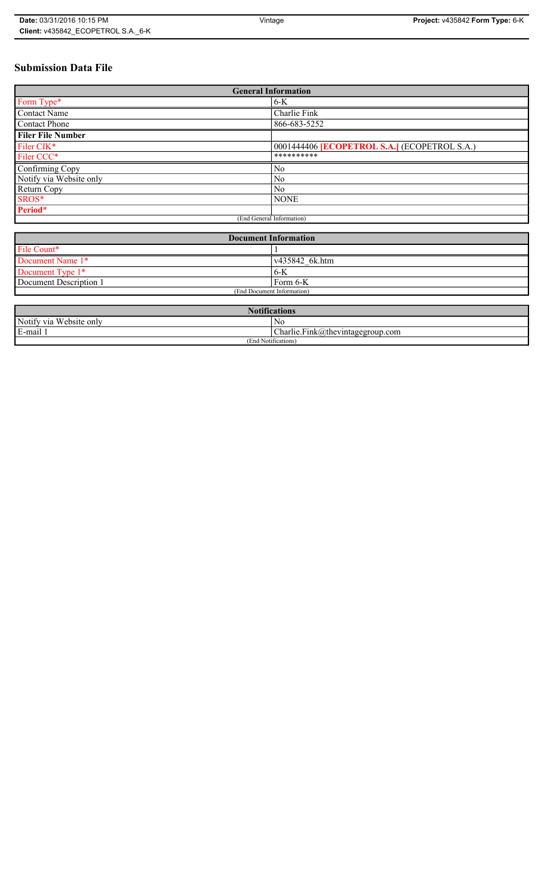# **Submission Data File**

| <b>General Information</b> |                                                   |  |  |  |
|----------------------------|---------------------------------------------------|--|--|--|
| Form Type*                 | $6-K$                                             |  |  |  |
| Contact Name               | Charlie Fink                                      |  |  |  |
| <b>Contact Phone</b>       | 866-683-5252                                      |  |  |  |
| <b>Filer File Number</b>   |                                                   |  |  |  |
| Filer CIK*                 | 0001444406 <b>ECOPETROL S.A.</b> (ECOPETROL S.A.) |  |  |  |
| Filer CCC*                 | **********                                        |  |  |  |
| Confirming Copy            | N <sub>o</sub>                                    |  |  |  |
| Notify via Website only    | No                                                |  |  |  |
| Return Copy                | N <sub>0</sub>                                    |  |  |  |
| SROS*                      | <b>NONE</b>                                       |  |  |  |
| Period*                    |                                                   |  |  |  |
| (End General Information)  |                                                   |  |  |  |

| <b>Document Information</b> |                        |  |
|-----------------------------|------------------------|--|
| File Count*                 |                        |  |
| Document Name 1*            | $\sqrt{435842}$ 6k.htm |  |
| Document Type 1*            | ' 6-K                  |  |
| Document Description 1      | Form 6-K               |  |
| (End Document Information)  |                        |  |

| <b>Notifications</b>    |                                  |  |
|-------------------------|----------------------------------|--|
| Notify via Website only | N0                               |  |
| E-mail                  | Charlie.Fink@thevintagegroup.com |  |
| (End Notifications)     |                                  |  |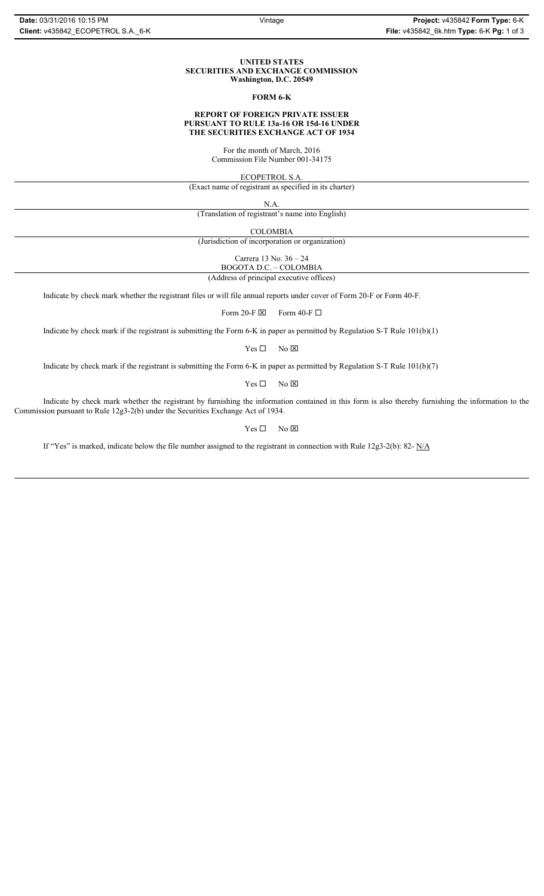#### **UNITED STATES SECURITIES AND EXCHANGE COMMISSION Washington, D.C. 20549**

### **FORM 6-K**

# **REPORT OF FOREIGN PRIVATE ISSUER PURSUANT TO RULE 13a-16 OR 15d-16 UNDER THE SECURITIES EXCHANGE ACT OF 1934**

For the month of March, 2016 Commission File Number 001-34175

ECOPETROL S.A.

(Exact name of registrant as specified in its charter)

N.A.

(Translation of registrant's name into English)

COLOMBIA

(Jurisdiction of incorporation or organization)

Carrera 13 No. 36 – 24

BOGOTA D.C. – COLOMBIA (Address of principal executive offices)

Indicate by check mark whether the registrant files or will file annual reports under cover of Form 20-F or Form 40-F.

Form 20-F  $\boxtimes$  Form 40-F  $\Box$ 

Indicate by check mark if the registrant is submitting the Form 6-K in paper as permitted by Regulation S-T Rule 101(b)(1)

 $Yes \Box$  No  $\boxtimes$ 

Indicate by check mark if the registrant is submitting the Form 6-K in paper as permitted by Regulation S-T Rule 101(b)(7)

 $Yes \Box$  No  $\boxtimes$ 

Indicate by check mark whether the registrant by furnishing the information contained in this form is also thereby furnishing the information to the Commission pursuant to Rule 12g3-2(b) under the Securities Exchange Act of 1934.

 $Yes \Box$  No  $\boxtimes$ 

If "Yes" is marked, indicate below the file number assigned to the registrant in connection with Rule 12g3-2(b): 82- N/A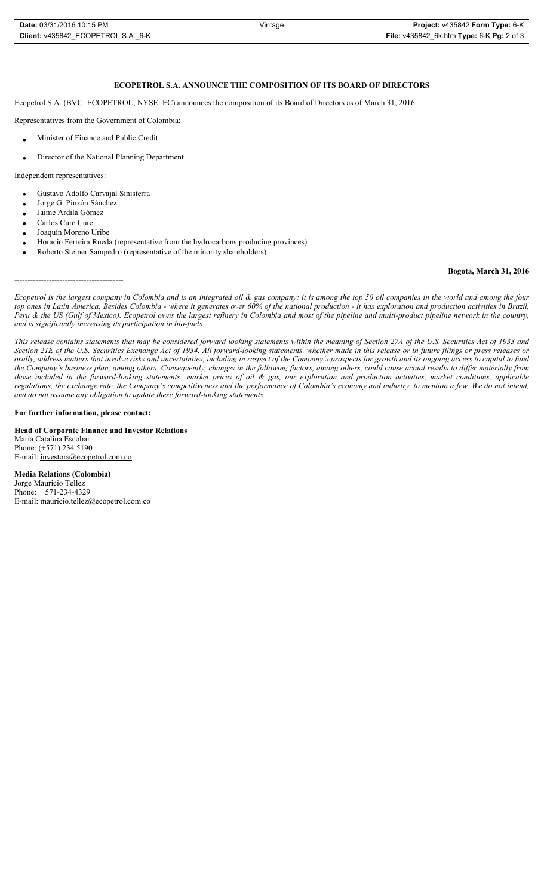| Date: 03/31/2016 10:15 PM          | Vintage | Proi                |
|------------------------------------|---------|---------------------|
| Client: v435842 ECOPETROL S.A. 6-K |         | <b>File: v43584</b> |

Ecopetrol S.A. (BVC: ECOPETROL; NYSE: EC) announces the composition of its Board of Directors as of March 31, 2016:

Representatives from the Government of Colombia:

- x Minister of Finance and Public Credit
- Director of the National Planning Department

Independent representatives:

- Gustavo Adolfo Carvajal Sinisterra
- Jorge G. Pinzón Sánchez
- Jaime Ardila Gómez
- Carlos Cure Cure
- Joaquín Moreno Uribe

-----------------------------------------

- Horacio Ferreira Rueda (representative from the hydrocarbons producing provinces)
- x Roberto Steiner Sampedro (representative of the minority shareholders)

## **Bogota, March 31, 2016**

*Ecopetrol is the largest company in Colombia and is an integrated oil & gas company; it is among the top 50 oil companies in the world and among the four top ones in Latin America. Besides Colombia - where it generates over 60% of the national production - it has exploration and production activities in Brazil, Peru & the US (Gulf of Mexico). Ecopetrol owns the largest refinery in Colombia and most of the pipeline and multi-product pipeline network in the country, and is significantly increasing its participation in bio-fuels.*

*This release contains statements that may be considered forward looking statements within the meaning of Section 27A of the U.S. Securities Act of 1933 and Section 21E of the U.S. Securities Exchange Act of 1934. All forward-looking statements, whether made in this release or in future filings or press releases or orally, address matters that involve risks and uncertainties, including in respect of the Company's prospects for growth and its ongoing access to capital to fund the Company's business plan, among others. Consequently, changes in the following factors, among others, could cause actual results to differ materially from those included in the forward-looking statements: market prices of oil & gas, our exploration and production activities, market conditions, applicable regulations, the exchange rate, the Company's competitiveness and the performance of Colombia's economy and industry, to mention a few. We do not intend, and do not assume any obligation to update these forward-looking statements.*

**For further information, please contact:** 

**Head of Corporate Finance and Investor Relations** María Catalina Escobar Phone: (+571) 234 5190 E-mail: investors@ecopetrol.com.co

**Media Relations (Colombia)**  Jorge Mauricio Tellez Phone: + 571-234-4329 E-mail: mauricio.tellez@ecopetrol.com.co